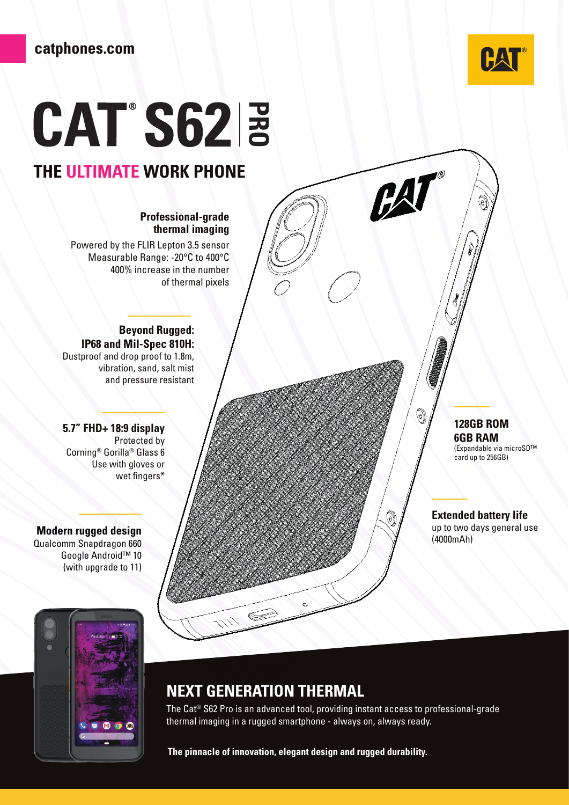

 $\bigcirc$ 

# **CAT S62 3**

# **THE ULTIMATE WORK PHONE**

#### **Professional-grade thermal imaging**

Powered by the FLIR Lepton 3.5 sensor Measurable Range: -20°C to 400°C 400% increase in the number of thermal pixels

#### **Beyond Rugged: IP68 and Mil-Spec 810H:** Dustproof and drop proof to 1.8m, vibration, sand, salt mist and pressure resistant

**5.7" FHD+ 18:9 display**  Protected by Corning® Gorilla® Glass 6 Use with gloves or wet fingers\*

**Modern rugged design** Qualcomm Snapdragon 660 Google Android™ 10 (with upgrade to 11)



## **NEXT GENERATION THERMAL**

The Cat® S62 Pro is an advanced tool, providing instant access to professional-grade thermal imaging in a rugged smartphone - always on, always ready.

**The pinnacle of innovation, elegant design and rugged durability.**

## **128GB ROM 6GB RAM**

 $\Theta$ 

 $\textcircled{\scriptsize{\textcircled{\tiny{R}}}}$ 

(Expandable via microSD™ card up to 256GB)

#### **Extended battery life**  up to two days general use

(4000mAh)